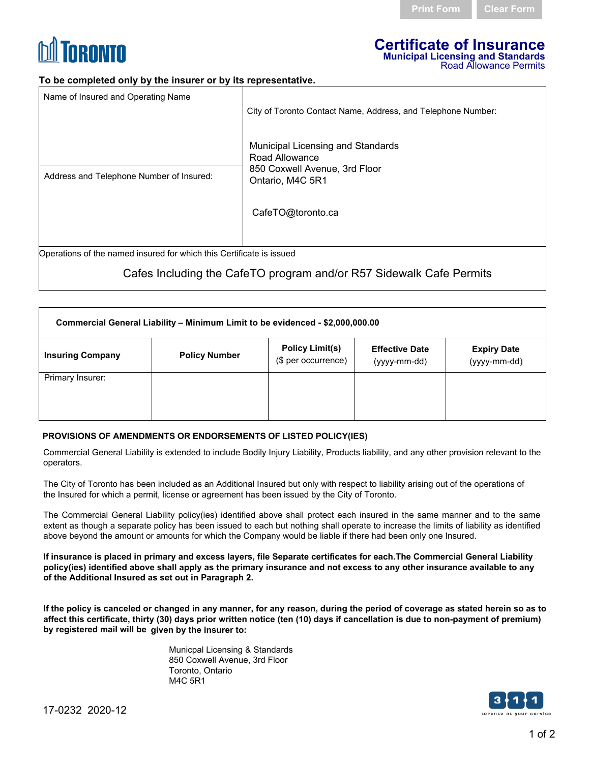

#### **Certificate of Insurance Municipal Licensing and Standards**  Road Allowance Permits

### **To be completed only by the insurer or by its representative.**

| Name of Insured and Operating Name                                   |                                                                                                          |  |  |
|----------------------------------------------------------------------|----------------------------------------------------------------------------------------------------------|--|--|
|                                                                      | City of Toronto Contact Name, Address, and Telephone Number:                                             |  |  |
| Address and Telephone Number of Insured:                             | Municipal Licensing and Standards<br>Road Allowance<br>850 Coxwell Avenue, 3rd Floor<br>Ontario, M4C 5R1 |  |  |
|                                                                      | CafeTO@toronto.ca                                                                                        |  |  |
|                                                                      |                                                                                                          |  |  |
| Operations of the named insured for which this Certificate is issued |                                                                                                          |  |  |

Operations of the named insured for which this Certificate is issued

# Cafes Including the CafeTO program and/or R57 Sidewalk Cafe Permits

| Commercial General Liability – Minimum Limit to be evidenced - \$2,000,000.00 |                      |                                               |                                       |                                    |  |
|-------------------------------------------------------------------------------|----------------------|-----------------------------------------------|---------------------------------------|------------------------------------|--|
| <b>Insuring Company</b>                                                       | <b>Policy Number</b> | <b>Policy Limit(s)</b><br>(\$ per occurrence) | <b>Effective Date</b><br>(yyyy-mm-dd) | <b>Expiry Date</b><br>(yyyy-mm-dd) |  |
| Primary Insurer:                                                              |                      |                                               |                                       |                                    |  |

### **PROVISIONS OF AMENDMENTS OR ENDORSEMENTS OF LISTED POLICY(IES)**

Commercial General Liability is extended to include Bodily Injury Liability, Products liability, and any other provision relevant to the operators.

The City of Toronto has been included as an Additional Insured but only with respect to liability arising out of the operations of the Insured for which a permit, license or agreement has been issued by the City of Toronto.

The Commercial General Liability policy(ies) identified above shall protect each insured in the same manner and to the same extent as though a separate policy has been issued to each but nothing shall operate to increase the limits of liability as identified above beyond the amount or amounts for which the Company would be liable if there had been only one Insured.

**If insurance is placed in primary and excess layers, file Separate certificates for each.The Commercial General Liability policy(ies) identified above shall apply as the primary insurance and not excess to any other insurance available to any of the Additional Insured as set out in Paragraph 2.**

**If the policy is canceled or changed in any manner, for any reason, during the period of coverage as stated herein so as to affect this certificate, thirty (30) days prior written notice (ten (10) days if cancellation is due to non-payment of premium) by registered mail will be given by the insurer to:**

> Municpal Licensing & Standards 850 Coxwell Avenue, 3rd Floor Toronto, Ontario M4C 5R1